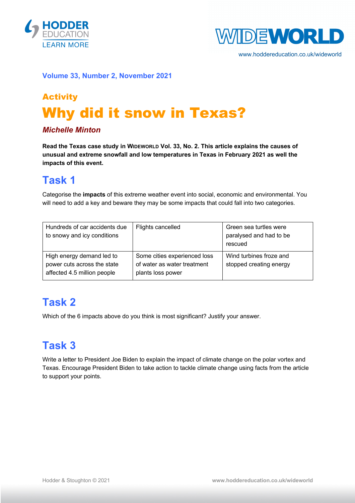



www.hoddereducation.co.uk/wideworld

#### **Volume 33, Number 2, November 2021**

# Activity Why did it snow in Texas?

#### *Michelle Minton*

**Read the Texas case study in WIDEWORLD Vol. 33, No. 2. This article explains the causes of unusual and extreme snowfall and low temperatures in Texas in February 2021 as well the impacts of this event.**

### **Task 1**

Categorise the **impacts** of this extreme weather event into social, economic and environmental. You will need to add a key and beware they may be some impacts that could fall into two categories.

| Hundreds of car accidents due<br>to snowy and icy conditions                            | Flights cancelled                                                                | Green sea turtles were<br>paralysed and had to be<br>rescued |
|-----------------------------------------------------------------------------------------|----------------------------------------------------------------------------------|--------------------------------------------------------------|
| High energy demand led to<br>power cuts across the state<br>affected 4.5 million people | Some cities experienced loss<br>of water as water treatment<br>plants loss power | Wind turbines froze and<br>stopped creating energy           |

### **Task 2**

Which of the 6 impacts above do you think is most significant? Justify your answer.

## **Task 3**

Write a letter to President Joe Biden to explain the impact of climate change on the polar vortex and Texas. Encourage President Biden to take action to tackle climate change using facts from the article to support your points.